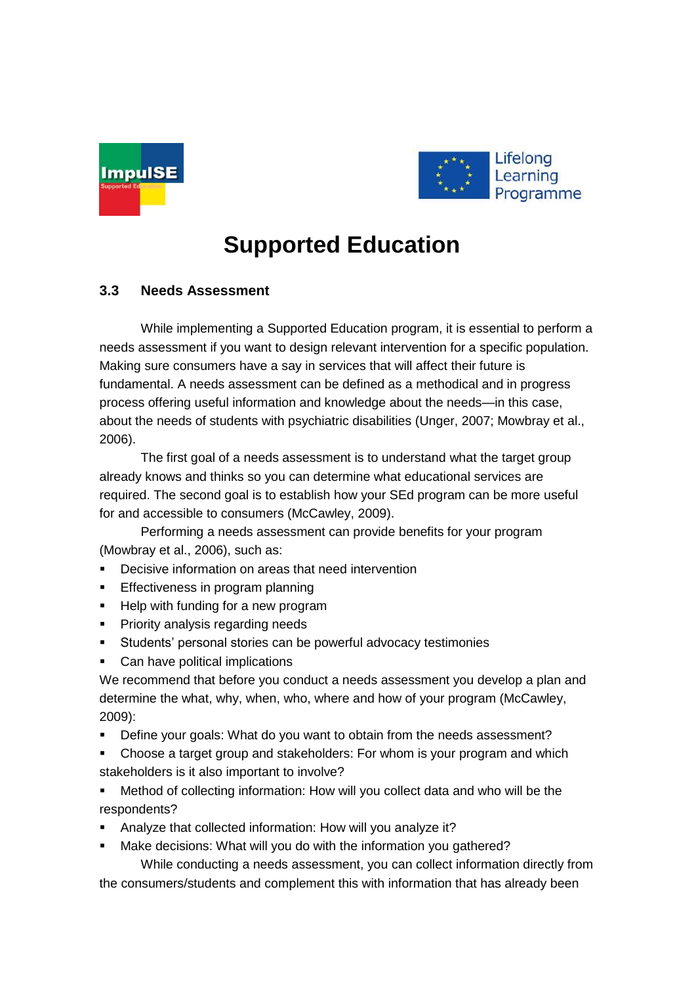



## **Supported Education**

## **3.3 Needs Assessment**

While implementing a Supported Education program, it is essential to perform a needs assessment if you want to design relevant intervention for a specific population. Making sure consumers have a say in services that will affect their future is fundamental. A needs assessment can be defined as a methodical and in progress process offering useful information and knowledge about the needs—in this case, about the needs of students with psychiatric disabilities (Unger, 2007; Mowbray et al., 2006).

The first goal of a needs assessment is to understand what the target group already knows and thinks so you can determine what educational services are required. The second goal is to establish how your SEd program can be more useful for and accessible to consumers (McCawley, 2009).

Performing a needs assessment can provide benefits for your program (Mowbray et al., 2006), such as:

- Decisive information on areas that need intervention
- **Effectiveness in program planning**
- **Help with funding for a new program**
- **Priority analysis regarding needs**
- Students' personal stories can be powerful advocacy testimonies
- Can have political implications

We recommend that before you conduct a needs assessment you develop a plan and determine the what, why, when, who, where and how of your program (McCawley, 2009):

- Define your goals: What do you want to obtain from the needs assessment?
- Choose a target group and stakeholders: For whom is your program and which stakeholders is it also important to involve?
- Method of collecting information: How will you collect data and who will be the respondents?
- Analyze that collected information: How will you analyze it?
- Make decisions: What will you do with the information you gathered?

While conducting a needs assessment, you can collect information directly from the consumers/students and complement this with information that has already been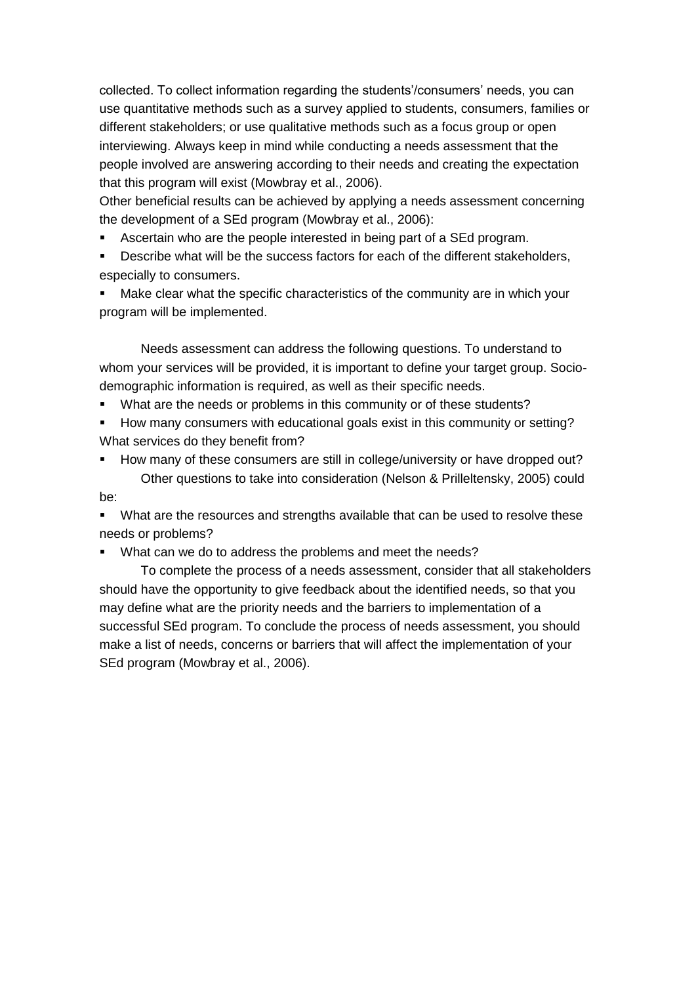collected. To collect information regarding the students'/consumers' needs, you can use quantitative methods such as a survey applied to students, consumers, families or different stakeholders; or use qualitative methods such as a focus group or open interviewing. Always keep in mind while conducting a needs assessment that the people involved are answering according to their needs and creating the expectation that this program will exist (Mowbray et al., 2006).

Other beneficial results can be achieved by applying a needs assessment concerning the development of a SEd program (Mowbray et al., 2006):

- Ascertain who are the people interested in being part of a SEd program.
- Describe what will be the success factors for each of the different stakeholders, especially to consumers.
- Make clear what the specific characteristics of the community are in which your program will be implemented.

Needs assessment can address the following questions. To understand to whom your services will be provided, it is important to define your target group. Sociodemographic information is required, as well as their specific needs.

- **What are the needs or problems in this community or of these students?**
- How many consumers with educational goals exist in this community or setting? What services do they benefit from?
- How many of these consumers are still in college/university or have dropped out? Other questions to take into consideration (Nelson & Prilleltensky, 2005) could be:

• What are the resources and strengths available that can be used to resolve these needs or problems?

What can we do to address the problems and meet the needs?

To complete the process of a needs assessment, consider that all stakeholders should have the opportunity to give feedback about the identified needs, so that you may define what are the priority needs and the barriers to implementation of a successful SEd program. To conclude the process of needs assessment, you should make a list of needs, concerns or barriers that will affect the implementation of your SEd program (Mowbray et al., 2006).